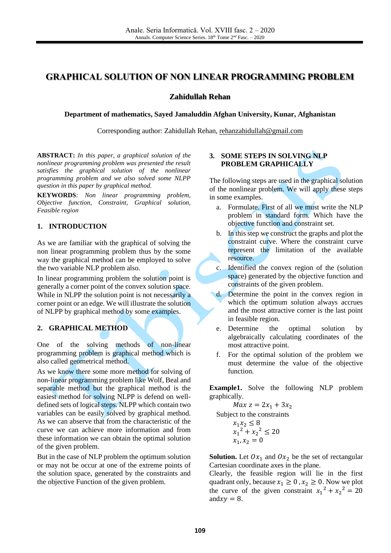# **GRAPHICAL SOLUTION OF NON LINEAR PROGRAMMING PROBLEM**

#### **Zahidullah Rehan**

**Department of mathematics, Sayed Jamaluddin Afghan University, Kunar, Afghanistan**

Corresponding author: Zahidullah Rehan, [rehanzahidullah@gmail.com](mailto:rehanzahidullah@gmail.com)

**ABSTRACT:** *In this paper, a graphical solution of the nonlinear programming problem was presented the result satisfies the graphical solution of the nonlinear programming problem and we also solved some NLPP question in this paper by graphical method.*

**KEYWORDS***: Non linear programming problem, Objective function, Constraint, Graphical solution, Feasible region*

## **1. INTRODUCTION**

As we are familiar with the graphical of solving the non linear programming problem thus by the some way the graphical method can be employed to solve the two variable NLP problem also.

In linear programming problem the solution point is generally a corner point of the convex solution space. While in NLPP the solution point is not necessarily a corner point or an edge. We will illustrate the solution of NLPP by graphical method by some examples.

## **2. GRAPHICAL METHOD**

One of the solving methods of non-linear programming problem is graphical method which is also called geometrical method.

As we know there some more method for solving of non-linear programming problem like Wolf, Beal and separable method but the graphical method is the easiest method for solving NLPP is defend on welldefined sets of logical steps. NLPP which contain two variables can be easily solved by graphical method. As we can abserve that from the characteristic of the curve we can achieve more information and from these information we can obtain the optimal solution of the given problem.

But in the case of NLP problem the optimum solution or may not be occur at one of the extreme points of the solution space, generated by the constraints and the objective Function of the given problem.

## **3. SOME STEPS IN SOLVING NLP PROBLEM GRAPHICALLY**

The following steps are used in the graphical solution of the nonlinear problem. We will apply these steps in some examples.

- a. Formulate. First of all we must write the NLP problem in standard form. Which have the objective function and constraint set.
- b. In this step we construct the graphs and plot the constraint curve. Where the constraint curve represent the limitation of the available resource.
- c. Identified the convex region of the (solution space) generated by the objective function and constraints of the given problem.
- d. Determine the point in the convex region in which the optimum solution always accrues and the most attractive corner is the last point in feasible region.
	- e. Determine the optimal solution by algebraically calculating coordinates of the most attractive point.
	- f. For the optimal solution of the problem we must determine the value of the objective function.

**Example1.** Solve the following NLP problem graphically.

 $Max\ z = 2x_1 + 3x_2$ 

Subject to the constraints

$$
x_1 x_2 \le 8
$$
  

$$
x_1^2 + x_2^2 \le 20
$$
  

$$
x_1, x_2 = 0
$$

**Solution.** Let  $0x_1$  and  $0x_2$  be the set of rectangular Cartesian coordinate axes in the plane.

Clearly, the feasible region will lie in the first quadrant only, because  $x_1 \geq 0$ ,  $x_2 \geq 0$ . Now we plot the curve of the given constraint  $x_1^2 + x_2^2 = 20$ and  $xy = 8$ .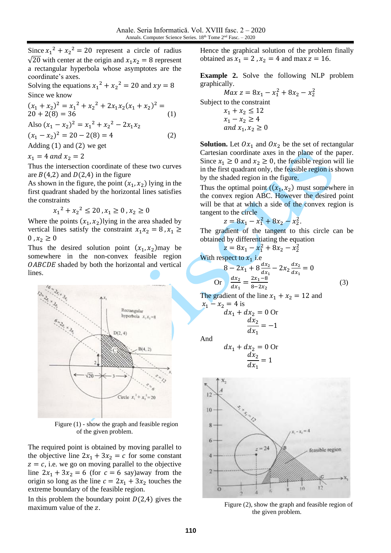Since  $x_1^2 + x_2^2 = 20$  represent a circle of radius  $\sqrt{20}$  with center at the origin and  $x_1 x_2 = 8$  represent a rectangular hyperbola whose asymptotes are the coordinate's axes.

Solving the equations  $x_1^2 + x_2^2 = 20$  and  $xy = 8$ Since we know

$$
(x1 + x2)2 = x12 + x22 + 2x1x2(x1 + x2)2 =
$$
  
20 + 2(8) = 36 (1)  
Also (x<sub>1</sub> - x<sub>2</sub>)<sup>2</sup> = x<sub>1</sub><sup>2</sup> + x<sub>2</sub><sup>2</sup> - 2x<sub>1</sub>x<sub>2</sub>

 $(x_1 - x_2)^2 = 20 - 2(8) = 4$  (2)

Adding (1) and (2) we get

 $x_1 = 4$  and  $x_2 = 2$ 

Thus the intersection coordinate of these two curves are  $B(4,2)$  and  $D(2,4)$  in the figure

As shown in the figure, the point  $(x_1, x_2)$  lying in the first quadrant shaded by the horizontal lines satisfies the constraints

 $x_1^2 + x_2^2 \le 20$ ,  $x_1 \ge 0$ ,  $x_2 \ge 0$ 

Where the points  $(x_1, x_2)$ lying in the area shaded by vertical lines satisfy the constraint  $x_1 x_2 = 8$ ,  $x_1 \ge$  $0, x_2 \geq 0$ 

Thus the desired solution point  $(x_1, x_2)$  may be somewhere in the non-convex feasible region OABCDE shaded by both the horizontal and vertical lines.



Figure (1) - show the graph and feasible region of the given problem.

The required point is obtained by moving parallel to the objective line  $2x_1 + 3x_2 = c$  for some constant  $z = c$ , i.e. we go on moving parallel to the objective line  $2x_1 + 3x_2 = 6$  (for  $c = 6$  say)away from the origin so long as the line  $c = 2x_1 + 3x_2$  touches the extreme boundary of the feasible region.

In this problem the boundary point  $D(2,4)$  gives the maximum value of the z.

Hence the graphical solution of the problem finally obtained as  $x_1 = 2$ ,  $x_2 = 4$  and max  $z = 16$ .

**Example 2.** Solve the following NLP problem graphically.

 $Max\ z = 8x_1 - x_1^2 + 8x_2 - x_2^2$ Subject to the constraint  $x_1 + x_2 \le 12$  $x_1 - x_2 \ge 4$ and  $x_1, x_2 \ge 0$ 

**Solution.** Let  $0x_1$  and  $0x_2$  be the set of rectangular Cartesian coordinate axes in the plane of the paper. Since  $x_1 \ge 0$  and  $x_2 \ge 0$ , the feasible region will lie in the first quadrant only, the feasible region is shown by the shaded region in the figure.

Thus the optimal point  $((x_1, x_2)$  must somewhere in the convex region ABC. However the desired point will be that at which a side of the convex region is tangent to the circle

$$
z = 8x_1 - x_1^2 + 8x_2 - x_2^2.
$$

The gradient of the tangent to this circle can be obtained by differentiating the equation

$$
z = 8x_1 - x_1^2 + 8x_2 - x_2^2
$$
  
With respect to  $x_1$  i.e  

$$
8 - 2x_1 + 8\frac{dx_2}{dx_1} - 2x_2\frac{dx_2}{dx_1} = 0
$$

$$
8 - 2x_1 + 8 \frac{d}{dx_1} - 2x_2 \frac{d}{dx_1} = 0
$$
  
Or 
$$
\frac{dx_2}{dx_1} = \frac{2x_1 - 8}{8 - 2x_2}
$$
 (3)

The gradient of the line  $x_1 + x_2 = 12$  and  $x_1 - x_2 = 4$  is<br> $dx_1 + c$ 

$$
dx_1 + dx_2 = 0
$$
 Or  

$$
\frac{dx_2}{dx_1} = -1
$$

And

$$
dx_1 + dx_2 = 0
$$
 Or  

$$
\frac{dx_2}{dx_1} = 1
$$



Figure (2), show the graph and feasible region of the given problem.